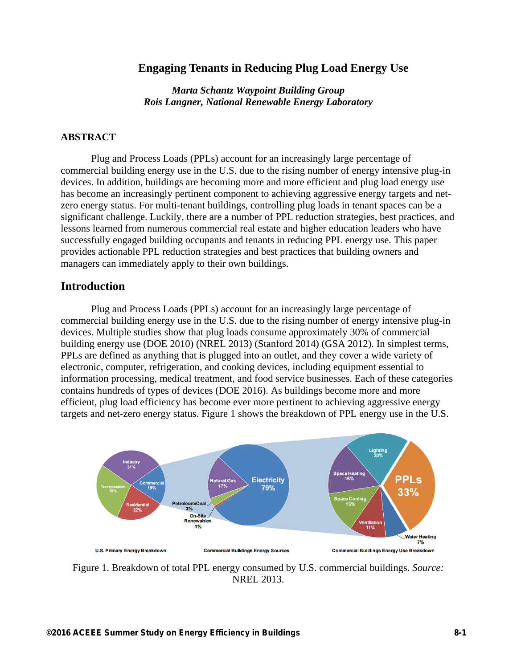### **Engaging Tenants in Reducing Plug Load Energy Use**

*Marta Schantz Waypoint Building Group Rois Langner, National Renewable Energy Laboratory* 

#### **ABSTRACT**

 Plug and Process Loads (PPLs) account for an increasingly large percentage of commercial building energy use in the U.S. due to the rising number of energy intensive plug-in devices. In addition, buildings are becoming more and more efficient and plug load energy use has become an increasingly pertinent component to achieving aggressive energy targets and netzero energy status. For multi-tenant buildings, controlling plug loads in tenant spaces can be a significant challenge. Luckily, there are a number of PPL reduction strategies, best practices, and lessons learned from numerous commercial real estate and higher education leaders who have successfully engaged building occupants and tenants in reducing PPL energy use. This paper provides actionable PPL reduction strategies and best practices that building owners and managers can immediately apply to their own buildings.

### **Introduction**

Plug and Process Loads (PPLs) account for an increasingly large percentage of commercial building energy use in the U.S. due to the rising number of energy intensive plug-in devices. Multiple studies show that plug loads consume approximately 30% of commercial building energy use (DOE 2010) (NREL 2013) (Stanford 2014) (GSA 2012). In simplest terms, PPLs are defined as anything that is plugged into an outlet, and they cover a wide variety of electronic, computer, refrigeration, and cooking devices, including equipment essential to information processing, medical treatment, and food service businesses. Each of these categories contains hundreds of types of devices (DOE 2016). As buildings become more and more efficient, plug load efficiency has become ever more pertinent to achieving aggressive energy targets and net-zero energy status. Figure 1 shows the breakdown of PPL energy use in the U.S.



Figure 1. Breakdown of total PPL energy consumed by U.S. commercial buildings. *Source:* NREL 2013.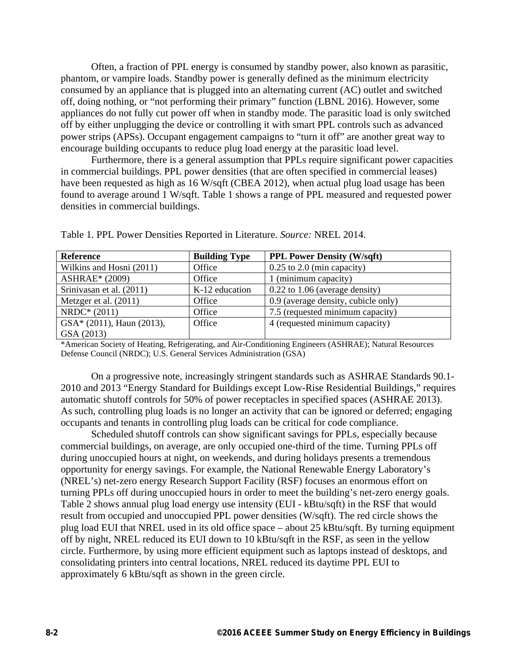Often, a fraction of PPL energy is consumed by standby power, also known as parasitic, phantom, or vampire loads. Standby power is generally defined as the minimum electricity consumed by an appliance that is plugged into an alternating current (AC) outlet and switched off, doing nothing, or "not performing their primary" function (LBNL 2016). However, some appliances do not fully cut power off when in standby mode. The parasitic load is only switched off by either unplugging the device or controlling it with smart PPL controls such as advanced power strips (APSs). Occupant engagement campaigns to "turn it off" are another great way to encourage building occupants to reduce plug load energy at the parasitic load level.

Furthermore, there is a general assumption that PPLs require significant power capacities in commercial buildings. PPL power densities (that are often specified in commercial leases) have been requested as high as 16 W/sqft (CBEA 2012), when actual plug load usage has been found to average around 1 W/sqft. Table 1 shows a range of PPL measured and requested power densities in commercial buildings.

| <b>Reference</b>            | <b>Building Type</b> | <b>PPL Power Density (W/sqft)</b>   |
|-----------------------------|----------------------|-------------------------------------|
| Wilkins and Hosni (2011)    | Office               | $0.25$ to $2.0$ (min capacity)      |
| <b>ASHRAE*</b> (2009)       | Office               | 1 (minimum capacity)                |
| Srinivasan et al. (2011)    | K-12 education       | $0.22$ to 1.06 (average density)    |
| Metzger et al. $(2011)$     | Office               | 0.9 (average density, cubicle only) |
| NRDC* (2011)                | Office               | 7.5 (requested minimum capacity)    |
| $GSA*$ (2011), Haun (2013), | Office               | 4 (requested minimum capacity)      |
| GSA (2013)                  |                      |                                     |

Table 1. PPL Power Densities Reported in Literature. *Source:* NREL 2014.

\*American Society of Heating, Refrigerating, and Air-Conditioning Engineers (ASHRAE); Natural Resources Defense Council (NRDC); U.S. General Services Administration (GSA)

On a progressive note, increasingly stringent standards such as ASHRAE Standards 90.1- 2010 and 2013 "Energy Standard for Buildings except Low-Rise Residential Buildings," requires automatic shutoff controls for 50% of power receptacles in specified spaces (ASHRAE 2013). As such, controlling plug loads is no longer an activity that can be ignored or deferred; engaging occupants and tenants in controlling plug loads can be critical for code compliance.

Scheduled shutoff controls can show significant savings for PPLs, especially because commercial buildings, on average, are only occupied one-third of the time. Turning PPLs off during unoccupied hours at night, on weekends, and during holidays presents a tremendous opportunity for energy savings. For example, the National Renewable Energy Laboratory's (NREL's) net-zero energy Research Support Facility (RSF) focuses an enormous effort on turning PPLs off during unoccupied hours in order to meet the building's net-zero energy goals. Table 2 shows annual plug load energy use intensity (EUI - kBtu/sqft) in the RSF that would result from occupied and unoccupied PPL power densities (W/sqft). The red circle shows the plug load EUI that NREL used in its old office space – about 25 kBtu/sqft. By turning equipment off by night, NREL reduced its EUI down to 10 kBtu/sqft in the RSF, as seen in the yellow circle. Furthermore, by using more efficient equipment such as laptops instead of desktops, and consolidating printers into central locations, NREL reduced its daytime PPL EUI to approximately 6 kBtu/sqft as shown in the green circle.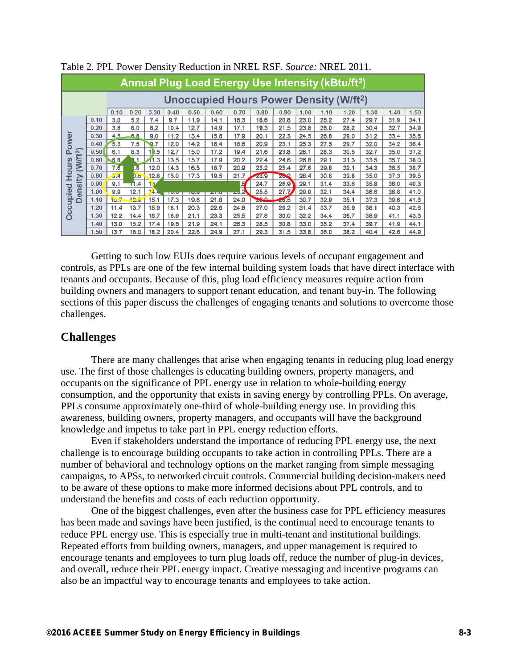| Annual Plug Load Energy Use Intensity (kBtu/ft <sup>2</sup> ) |      |      |                         |      |             |      |            |      |                        |          |      |      |                                                          |      |      |      |
|---------------------------------------------------------------|------|------|-------------------------|------|-------------|------|------------|------|------------------------|----------|------|------|----------------------------------------------------------|------|------|------|
|                                                               |      |      |                         |      |             |      |            |      |                        |          |      |      | <b>Unoccupied Hours Power Density (W/ft<sup>2</sup>)</b> |      |      |      |
|                                                               |      | 0.10 | 0.20                    | 0.30 | 0.40        | 0.50 | 0.60       | 0.70 | 0.80                   | 0.90     | 1.00 | 1.10 | 1.20                                                     | 1.30 | 1.40 | 1.50 |
|                                                               | 0.10 | 3.0  | 5.2                     | 7.4  | 9.7         | 11.9 | 14.1       | 16.3 | 18.6                   | 20.8     | 23.0 | 25.2 | 27.4                                                     | 29.7 | 31.9 | 34.1 |
|                                                               | 0.20 | 3.8  | 6.0                     | 8.2  | 10.4        | 12.7 | 14.9       | 17.1 | 19.3                   | 21.5     | 23.8 | 26.0 | 28.2                                                     | 30.4 | 32.7 | 34.9 |
|                                                               | 0.30 | 4.5. | 88                      | 9.0  | 11.2        | 13.4 | 15.6       | 17.9 | 20.1                   | 22.3     | 24.5 | 26.8 | 29.0                                                     | 31.2 | 33.4 | 35.6 |
| Power                                                         | 0.40 | 5.3  | 7.5                     | 9.7  | 12.0        | 14.2 | 16.4       | 18.6 | 20.9                   | 23.1     | 25.3 | 27.5 | 29.7                                                     | 32.0 | 34.2 | 36.4 |
|                                                               | 0.50 | 6.1  | 8.3                     | 10.5 | 12.7        | 15.0 | 17.2       | 19.4 | 21.6                   | 23.8     | 26.1 | 28.3 | 30.5                                                     | 32.7 | 35.0 | 37.2 |
|                                                               | 0.60 | 6.8  | 1                       | 11.3 | 13.5        | 15.7 | 17.9       | 20.2 | 22.4                   | 24.6     | 26.8 | 29.1 | 31.3                                                     | 33.5 | 35.7 | 38.0 |
| (W/ft <sup>2</sup> )<br><b>Hours</b>                          | 0.70 | 7.6  | $\overline{\mathbf{3}}$ | 12.0 | 14.3        | 16.5 | 18.7       | 20.9 | 23.2                   | 25.4     | 27.6 | 29.8 | 32.1                                                     | 34.3 | 36.5 | 38.7 |
|                                                               | 0.80 | 5.4  | 0.6                     | 12.8 | 15.0        | 17.3 | 19.5       | 21.7 | 23.9                   | $20 - 2$ | 28.4 | 30.6 | 32.8                                                     | 35.0 | 37.3 | 39.5 |
| sity                                                          | 0.90 | 9.1  | T1.4                    |      |             |      |            | ı9   | 24.7                   | 26.9     | 29.1 | 31.4 | 33.6                                                     | 35.8 | 38.0 | 40.3 |
| led<br>É<br>$\overline{a}$                                    | 1.00 | 0.9  | 12.1                    | 14.4 | <b>TWAY</b> | 1979 | <b>ALL</b> | - 2  | 25.5                   | 27.7     | 29.9 | 32.1 | 34.4                                                     | 36.6 | 38.8 | 41.0 |
| $\mathbf{u}$<br>Ŏ                                             | 1.10 | 10.7 | 42.5                    | 15.1 | 17.3        | 19.6 | 21.8       | 24.0 | n o<br><b>Children</b> | 20.5     | 30.7 | 32.9 | 35.1                                                     | 37.3 | 39.6 | 41.8 |
|                                                               | 1.20 | 11.4 | 13.7                    | 15.9 | 18.1        | 20.3 | 22.6       | 24.8 | 27.0                   | 29.2     | 31.4 | 33.7 | 35.9                                                     | 38.1 | 40.3 | 42.6 |
| Occi                                                          | 1.30 | 12.2 | 14.4                    | 16.7 | 18.9        | 21.1 | 23.3       | 25.5 | 27.8                   | 30.0     | 32.2 | 34.4 | 36.7                                                     | 38.9 | 41.1 | 43.3 |
|                                                               | 1.40 | 13.0 | 15.2                    | 17.4 | 19.6        | 21.9 | 24.1       | 26.3 | 28.5                   | 30.8     | 33.0 | 35.2 | 37.4                                                     | 39.7 | 41.9 | 44.1 |
|                                                               | 1.50 | 13.7 | 16.0                    | 18.2 | 20.4        | 22.6 | 24.9       | 27.1 | 29.3                   | 31.5     | 33.8 | 36.0 | 38.2                                                     | 40.4 | 42.6 | 44.9 |

Table 2. PPL Power Density Reduction in NREL RSF. *Source:* NREL 2011.

Getting to such low EUIs does require various levels of occupant engagement and controls, as PPLs are one of the few internal building system loads that have direct interface with tenants and occupants. Because of this, plug load efficiency measures require action from building owners and managers to support tenant education, and tenant buy-in. The following sections of this paper discuss the challenges of engaging tenants and solutions to overcome those challenges.

### **Challenges**

There are many challenges that arise when engaging tenants in reducing plug load energy use. The first of those challenges is educating building owners, property managers, and occupants on the significance of PPL energy use in relation to whole-building energy consumption, and the opportunity that exists in saving energy by controlling PPLs. On average, PPLs consume approximately one-third of whole-building energy use. In providing this awareness, building owners, property managers, and occupants will have the background knowledge and impetus to take part in PPL energy reduction efforts.

 Even if stakeholders understand the importance of reducing PPL energy use, the next challenge is to encourage building occupants to take action in controlling PPLs. There are a number of behavioral and technology options on the market ranging from simple messaging campaigns, to APSs, to networked circuit controls. Commercial building decision-makers need to be aware of these options to make more informed decisions about PPL controls, and to understand the benefits and costs of each reduction opportunity.

 One of the biggest challenges, even after the business case for PPL efficiency measures has been made and savings have been justified, is the continual need to encourage tenants to reduce PPL energy use. This is especially true in multi-tenant and institutional buildings. Repeated efforts from building owners, managers, and upper management is required to encourage tenants and employees to turn plug loads off, reduce the number of plug-in devices, and overall, reduce their PPL energy impact. Creative messaging and incentive programs can also be an impactful way to encourage tenants and employees to take action.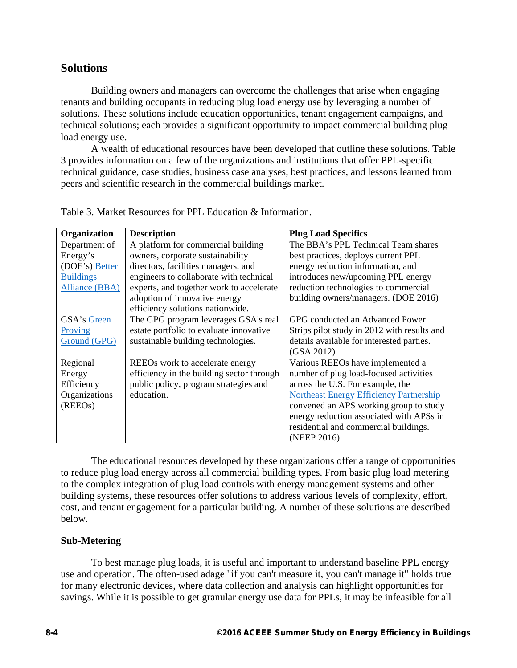# **Solutions**

Building owners and managers can overcome the challenges that arise when engaging tenants and building occupants in reducing plug load energy use by leveraging a number of solutions. These solutions include education opportunities, tenant engagement campaigns, and technical solutions; each provides a significant opportunity to impact commercial building plug load energy use.

A wealth of educational resources have been developed that outline these solutions. Table 3 provides information on a few of the organizations and institutions that offer PPL-specific technical guidance, case studies, business case analyses, best practices, and lessons learned from peers and scientific research in the commercial buildings market.

| Organization          | <b>Description</b>                        | <b>Plug Load Specifics</b>                     |
|-----------------------|-------------------------------------------|------------------------------------------------|
| Department of         | A platform for commercial building        | The BBA's PPL Technical Team shares            |
| Energy's              | owners, corporate sustainability          | best practices, deploys current PPL            |
| (DOE's) Better        | directors, facilities managers, and       | energy reduction information, and              |
| <b>Buildings</b>      | engineers to collaborate with technical   | introduces new/upcoming PPL energy             |
| <b>Alliance (BBA)</b> | experts, and together work to accelerate  | reduction technologies to commercial           |
|                       | adoption of innovative energy             | building owners/managers. (DOE 2016)           |
|                       | efficiency solutions nationwide.          |                                                |
| GSA's Green           | The GPG program leverages GSA's real      | GPG conducted an Advanced Power                |
| Proving               | estate portfolio to evaluate innovative   | Strips pilot study in 2012 with results and    |
| Ground (GPG)          | sustainable building technologies.        | details available for interested parties.      |
|                       |                                           | (GSA 2012)                                     |
| Regional              | REEOs work to accelerate energy           | Various REEOs have implemented a               |
| Energy                | efficiency in the building sector through | number of plug load-focused activities         |
| Efficiency            | public policy, program strategies and     | across the U.S. For example, the               |
| Organizations         | education.                                | <b>Northeast Energy Efficiency Partnership</b> |
| (REEOs)               |                                           | convened an APS working group to study         |
|                       |                                           | energy reduction associated with APSs in       |
|                       |                                           | residential and commercial buildings.          |
|                       |                                           | (NEEP 2016)                                    |

Table 3. Market Resources for PPL Education & Information.

The educational resources developed by these organizations offer a range of opportunities to reduce plug load energy across all commercial building types. From basic plug load metering to the complex integration of plug load controls with energy management systems and other building systems, these resources offer solutions to address various levels of complexity, effort, cost, and tenant engagement for a particular building. A number of these solutions are described below.

## **Sub-Metering**

To best manage plug loads, it is useful and important to understand baseline PPL energy use and operation. The often-used adage "if you can't measure it, you can't manage it" holds true for many electronic devices, where data collection and analysis can highlight opportunities for savings. While it is possible to get granular energy use data for PPLs, it may be infeasible for all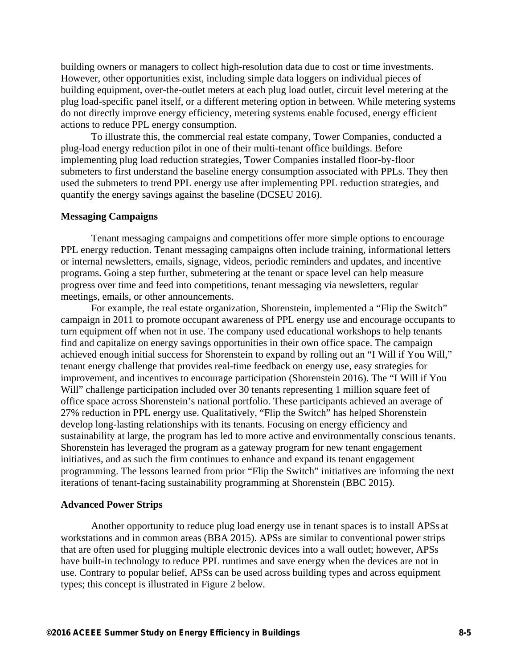building owners or managers to collect high-resolution data due to cost or time investments. However, other opportunities exist, including simple data loggers on individual pieces of building equipment, over-the-outlet meters at each plug load outlet, circuit level metering at the plug load-specific panel itself, or a different metering option in between. While metering systems do not directly improve energy efficiency, metering systems enable focused, energy efficient actions to reduce PPL energy consumption.

To illustrate this, the commercial real estate company, Tower Companies, conducted a plug-load energy reduction pilot in one of their multi-tenant office buildings. Before implementing plug load reduction strategies, Tower Companies installed floor-by-floor submeters to first understand the baseline energy consumption associated with PPLs. They then used the submeters to trend PPL energy use after implementing PPL reduction strategies, and quantify the energy savings against the baseline (DCSEU 2016).

#### **Messaging Campaigns**

Tenant messaging campaigns and competitions offer more simple options to encourage PPL energy reduction. Tenant messaging campaigns often include training, informational letters or internal newsletters, emails, signage, videos, periodic reminders and updates, and incentive programs. Going a step further, submetering at the tenant or space level can help measure progress over time and feed into competitions, tenant messaging via newsletters, regular meetings, emails, or other announcements.

For example, the real estate organization, Shorenstein, implemented a "Flip the Switch" campaign in 2011 to promote occupant awareness of PPL energy use and encourage occupants to turn equipment off when not in use. The company used educational workshops to help tenants find and capitalize on energy savings opportunities in their own office space. The campaign achieved enough initial success for Shorenstein to expand by rolling out an "I Will if You Will," tenant energy challenge that provides real-time feedback on energy use, easy strategies for improvement, and incentives to encourage participation (Shorenstein 2016). The "I Will if You Will" challenge participation included over 30 tenants representing 1 million square feet of office space across Shorenstein's national portfolio. These participants achieved an average of 27% reduction in PPL energy use. Qualitatively, "Flip the Switch" has helped Shorenstein develop long-lasting relationships with its tenants. Focusing on energy efficiency and sustainability at large, the program has led to more active and environmentally conscious tenants. Shorenstein has leveraged the program as a gateway program for new tenant engagement initiatives, and as such the firm continues to enhance and expand its tenant engagement programming. The lessons learned from prior "Flip the Switch" initiatives are informing the next iterations of tenant-facing sustainability programming at Shorenstein (BBC 2015).

#### **Advanced Power Strips**

Another opportunity to reduce plug load energy use in tenant spaces is to install APSs at workstations and in common areas (BBA 2015). APSs are similar to conventional power strips that are often used for plugging multiple electronic devices into a wall outlet; however, APSs have built-in technology to reduce PPL runtimes and save energy when the devices are not in use. Contrary to popular belief, APSs can be used across building types and across equipment types; this concept is illustrated in Figure 2 below.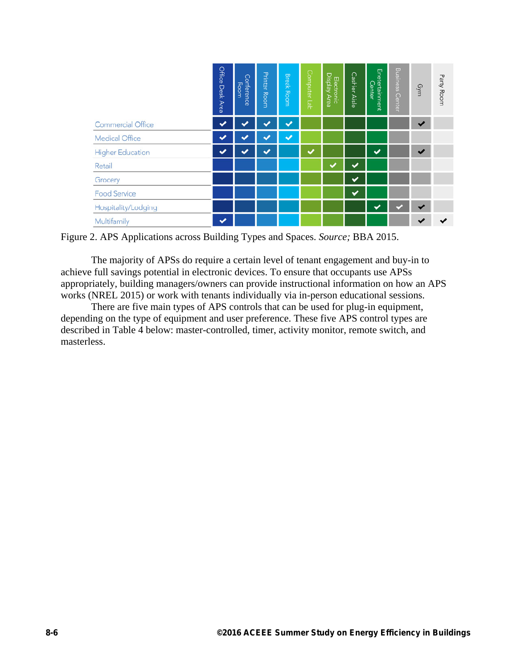|                          | Office Desk Area | Conference<br>Room | <b>Printer Room</b> | <b>Break Room</b> | Computer Lab | Electronic<br>Display Area | Cashier Aisle | Enetertainment<br>Center | <b>Business</b><br>Center | Gym                     | Party Room |
|--------------------------|------------------|--------------------|---------------------|-------------------|--------------|----------------------------|---------------|--------------------------|---------------------------|-------------------------|------------|
| <b>Commercial Office</b> | ✓                |                    | ັ                   | $\checkmark$      |              |                            |               |                          |                           | $\checkmark$            |            |
| <b>Medical Office</b>    |                  |                    |                     | ✓                 |              |                            |               |                          |                           |                         |            |
| <b>Higher Education</b>  | ✔                |                    | ◆                   |                   |              |                            |               | ✓                        |                           | $\overline{\mathbf{v}}$ |            |
| Retail                   |                  |                    |                     |                   |              |                            |               |                          |                           |                         |            |
| Grocery                  |                  |                    |                     |                   |              |                            |               |                          |                           |                         |            |
| <b>Food Service</b>      |                  |                    |                     |                   |              |                            | $\bullet$     |                          |                           |                         |            |
| Hospitality/Lodging      |                  |                    |                     |                   |              |                            |               |                          |                           |                         |            |
| Multifamily              | ✓                |                    |                     |                   |              |                            |               |                          |                           |                         |            |

Figure 2. APS Applications across Building Types and Spaces. *Source;* BBA 2015.

The majority of APSs do require a certain level of tenant engagement and buy-in to achieve full savings potential in electronic devices. To ensure that occupants use APSs appropriately, building managers/owners can provide instructional information on how an APS works (NREL 2015) or work with tenants individually via in-person educational sessions.

There are five main types of APS controls that can be used for plug-in equipment, depending on the type of equipment and user preference. These five APS control types are described in Table 4 below: master-controlled, timer, activity monitor, remote switch, and masterless.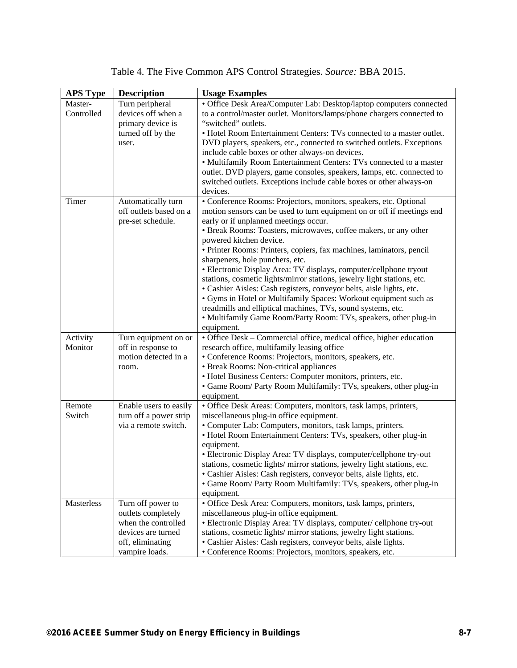|  |  |  | Table 4. The Five Common APS Control Strategies. Source: BBA 2015. |  |  |
|--|--|--|--------------------------------------------------------------------|--|--|
|  |  |  |                                                                    |  |  |

| <b>APS Type</b> | <b>Description</b>     | <b>Usage Examples</b>                                                   |
|-----------------|------------------------|-------------------------------------------------------------------------|
| Master-         | Turn peripheral        | • Office Desk Area/Computer Lab: Desktop/laptop computers connected     |
| Controlled      | devices off when a     | to a control/master outlet. Monitors/lamps/phone chargers connected to  |
|                 | primary device is      | "switched" outlets.                                                     |
|                 | turned off by the      | • Hotel Room Entertainment Centers: TVs connected to a master outlet.   |
|                 | user.                  | DVD players, speakers, etc., connected to switched outlets. Exceptions  |
|                 |                        | include cable boxes or other always-on devices.                         |
|                 |                        | • Multifamily Room Entertainment Centers: TVs connected to a master     |
|                 |                        | outlet. DVD players, game consoles, speakers, lamps, etc. connected to  |
|                 |                        | switched outlets. Exceptions include cable boxes or other always-on     |
|                 |                        | devices.                                                                |
| Timer           | Automatically turn     | · Conference Rooms: Projectors, monitors, speakers, etc. Optional       |
|                 | off outlets based on a | motion sensors can be used to turn equipment on or off if meetings end  |
|                 | pre-set schedule.      | early or if unplanned meetings occur.                                   |
|                 |                        | • Break Rooms: Toasters, microwaves, coffee makers, or any other        |
|                 |                        | powered kitchen device.                                                 |
|                 |                        | · Printer Rooms: Printers, copiers, fax machines, laminators, pencil    |
|                 |                        | sharpeners, hole punchers, etc.                                         |
|                 |                        | • Electronic Display Area: TV displays, computer/cellphone tryout       |
|                 |                        | stations, cosmetic lights/mirror stations, jewelry light stations, etc. |
|                 |                        | • Cashier Aisles: Cash registers, conveyor belts, aisle lights, etc.    |
|                 |                        | • Gyms in Hotel or Multifamily Spaces: Workout equipment such as        |
|                 |                        | treadmills and elliptical machines, TVs, sound systems, etc.            |
|                 |                        | • Multifamily Game Room/Party Room: TVs, speakers, other plug-in        |
|                 |                        | equipment.                                                              |
| Activity        | Turn equipment on or   | · Office Desk - Commercial office, medical office, higher education     |
| Monitor         | off in response to     | research office, multifamily leasing office                             |
|                 | motion detected in a   | · Conference Rooms: Projectors, monitors, speakers, etc.                |
|                 | room.                  | • Break Rooms: Non-critical appliances                                  |
|                 |                        | • Hotel Business Centers: Computer monitors, printers, etc.             |
|                 |                        | • Game Room/ Party Room Multifamily: TVs, speakers, other plug-in       |
|                 |                        | equipment.                                                              |
| Remote          | Enable users to easily | • Office Desk Areas: Computers, monitors, task lamps, printers,         |
| Switch          | turn off a power strip | miscellaneous plug-in office equipment.                                 |
|                 | via a remote switch.   | • Computer Lab: Computers, monitors, task lamps, printers.              |
|                 |                        | • Hotel Room Entertainment Centers: TVs, speakers, other plug-in        |
|                 |                        | equipment.                                                              |
|                 |                        | • Electronic Display Area: TV displays, computer/cellphone try-out      |
|                 |                        | stations, cosmetic lights/mirror stations, jewelry light stations, etc. |
|                 |                        | • Cashier Aisles: Cash registers, conveyor belts, aisle lights, etc.    |
|                 |                        | · Game Room/ Party Room Multifamily: TVs, speakers, other plug-in       |
|                 |                        | equipment.                                                              |
| Masterless      | Turn off power to      | · Office Desk Area: Computers, monitors, task lamps, printers,          |
|                 | outlets completely     | miscellaneous plug-in office equipment.                                 |
|                 | when the controlled    | • Electronic Display Area: TV displays, computer/cellphone try-out      |
|                 | devices are turned     | stations, cosmetic lights/ mirror stations, jewelry light stations.     |
|                 | off, eliminating       | • Cashier Aisles: Cash registers, conveyor belts, aisle lights.         |
|                 | vampire loads.         | • Conference Rooms: Projectors, monitors, speakers, etc.                |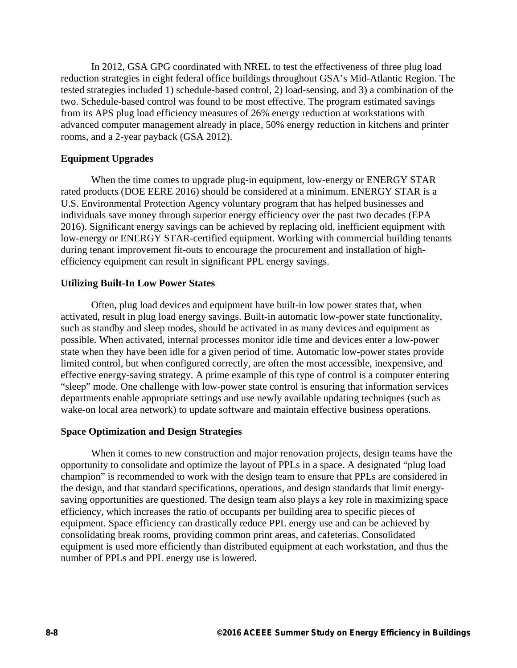In 2012, GSA GPG coordinated with NREL to test the effectiveness of three plug load reduction strategies in eight federal office buildings throughout GSA's Mid-Atlantic Region. The tested strategies included 1) schedule-based control, 2) load-sensing, and 3) a combination of the two. Schedule-based control was found to be most effective. The program estimated savings from its APS plug load efficiency measures of 26% energy reduction at workstations with advanced computer management already in place, 50% energy reduction in kitchens and printer rooms, and a 2-year payback (GSA 2012).

#### **Equipment Upgrades**

When the time comes to upgrade plug-in equipment, low-energy or ENERGY STAR rated products (DOE EERE 2016) should be considered at a minimum. ENERGY STAR is a U.S. Environmental Protection Agency voluntary program that has helped businesses and individuals save money through superior energy efficiency over the past two decades (EPA 2016). Significant energy savings can be achieved by replacing old, inefficient equipment with low-energy or ENERGY STAR-certified equipment. Working with commercial building tenants during tenant improvement fit-outs to encourage the procurement and installation of highefficiency equipment can result in significant PPL energy savings.

#### **Utilizing Built-In Low Power States**

Often, plug load devices and equipment have built-in low power states that, when activated, result in plug load energy savings. Built-in automatic low-power state functionality, such as standby and sleep modes, should be activated in as many devices and equipment as possible. When activated, internal processes monitor idle time and devices enter a low-power state when they have been idle for a given period of time. Automatic low-power states provide limited control, but when configured correctly, are often the most accessible, inexpensive, and effective energy-saving strategy. A prime example of this type of control is a computer entering "sleep" mode. One challenge with low-power state control is ensuring that information services departments enable appropriate settings and use newly available updating techniques (such as wake-on local area network) to update software and maintain effective business operations.

#### **Space Optimization and Design Strategies**

When it comes to new construction and major renovation projects, design teams have the opportunity to consolidate and optimize the layout of PPLs in a space. A designated "plug load champion" is recommended to work with the design team to ensure that PPLs are considered in the design, and that standard specifications, operations, and design standards that limit energysaving opportunities are questioned. The design team also plays a key role in maximizing space efficiency, which increases the ratio of occupants per building area to specific pieces of equipment. Space efficiency can drastically reduce PPL energy use and can be achieved by consolidating break rooms, providing common print areas, and cafeterias. Consolidated equipment is used more efficiently than distributed equipment at each workstation, and thus the number of PPLs and PPL energy use is lowered.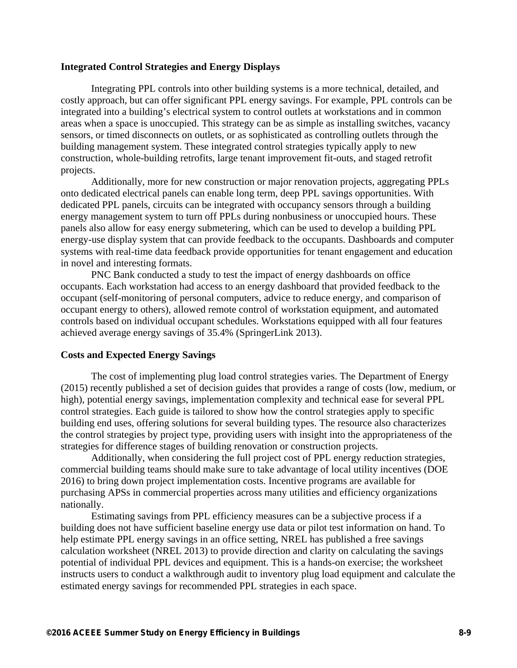#### **Integrated Control Strategies and Energy Displays**

Integrating PPL controls into other building systems is a more technical, detailed, and costly approach, but can offer significant PPL energy savings. For example, PPL controls can be integrated into a building's electrical system to control outlets at workstations and in common areas when a space is unoccupied. This strategy can be as simple as installing switches, vacancy sensors, or timed disconnects on outlets, or as sophisticated as controlling outlets through the building management system. These integrated control strategies typically apply to new construction, whole-building retrofits, large tenant improvement fit-outs, and staged retrofit projects.

Additionally, more for new construction or major renovation projects, aggregating PPLs onto dedicated electrical panels can enable long term, deep PPL savings opportunities. With dedicated PPL panels, circuits can be integrated with occupancy sensors through a building energy management system to turn off PPLs during nonbusiness or unoccupied hours. These panels also allow for easy energy submetering, which can be used to develop a building PPL energy-use display system that can provide feedback to the occupants. Dashboards and computer systems with real-time data feedback provide opportunities for tenant engagement and education in novel and interesting formats.

PNC Bank conducted a study to test the impact of energy dashboards on office occupants. Each workstation had access to an energy dashboard that provided feedback to the occupant (self-monitoring of personal computers, advice to reduce energy, and comparison of occupant energy to others), allowed remote control of workstation equipment, and automated controls based on individual occupant schedules. Workstations equipped with all four features achieved average energy savings of 35.4% (SpringerLink 2013).

#### **Costs and Expected Energy Savings**

The cost of implementing plug load control strategies varies. The Department of Energy (2015) recently published a set of decision guides that provides a range of costs (low, medium, or high), potential energy savings, implementation complexity and technical ease for several PPL control strategies. Each guide is tailored to show how the control strategies apply to specific building end uses, offering solutions for several building types. The resource also characterizes the control strategies by project type, providing users with insight into the appropriateness of the strategies for difference stages of building renovation or construction projects.

Additionally, when considering the full project cost of PPL energy reduction strategies, commercial building teams should make sure to take advantage of local utility incentives (DOE 2016) to bring down project implementation costs. Incentive programs are available for purchasing APSs in commercial properties across many utilities and efficiency organizations nationally.

Estimating savings from PPL efficiency measures can be a subjective process if a building does not have sufficient baseline energy use data or pilot test information on hand. To help estimate PPL energy savings in an office setting, NREL has published a free savings calculation worksheet (NREL 2013) to provide direction and clarity on calculating the savings potential of individual PPL devices and equipment. This is a hands-on exercise; the worksheet instructs users to conduct a walkthrough audit to inventory plug load equipment and calculate the estimated energy savings for recommended PPL strategies in each space.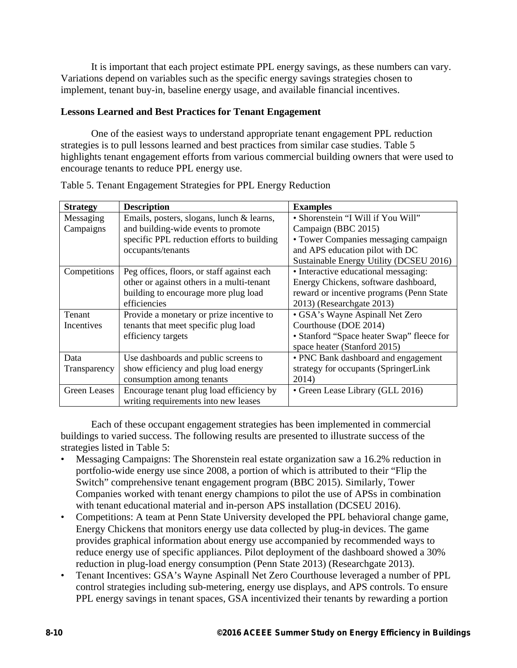It is important that each project estimate PPL energy savings, as these numbers can vary. Variations depend on variables such as the specific energy savings strategies chosen to implement, tenant buy-in, baseline energy usage, and available financial incentives.

### **Lessons Learned and Best Practices for Tenant Engagement**

One of the easiest ways to understand appropriate tenant engagement PPL reduction strategies is to pull lessons learned and best practices from similar case studies. Table 5 highlights tenant engagement efforts from various commercial building owners that were used to encourage tenants to reduce PPL energy use.

| <b>Strategy</b> | <b>Description</b>                         | <b>Examples</b>                           |
|-----------------|--------------------------------------------|-------------------------------------------|
| Messaging       | Emails, posters, slogans, lunch & learns,  | • Shorenstein "I Will if You Will"        |
| Campaigns       | and building-wide events to promote        | Campaign (BBC 2015)                       |
|                 | specific PPL reduction efforts to building | • Tower Companies messaging campaign      |
|                 | occupants/tenants                          | and APS education pilot with DC           |
|                 |                                            | Sustainable Energy Utility (DCSEU 2016)   |
| Competitions    | Peg offices, floors, or staff against each | • Interactive educational messaging:      |
|                 | other or against others in a multi-tenant  | Energy Chickens, software dashboard,      |
|                 | building to encourage more plug load       | reward or incentive programs (Penn State  |
|                 | efficiencies                               | 2013) (Researchgate 2013)                 |
| Tenant          | Provide a monetary or prize incentive to   | · GSA's Wayne Aspinall Net Zero           |
| Incentives      | tenants that meet specific plug load       | Courthouse (DOE 2014)                     |
|                 | efficiency targets                         | • Stanford "Space heater Swap" fleece for |
|                 |                                            | space heater (Stanford 2015)              |
| Data            | Use dashboards and public screens to       | • PNC Bank dashboard and engagement       |
| Transparency    | show efficiency and plug load energy       | strategy for occupants (SpringerLink      |
|                 | consumption among tenants                  | 2014)                                     |
| Green Leases    | Encourage tenant plug load efficiency by   | • Green Lease Library (GLL 2016)          |
|                 | writing requirements into new leases       |                                           |

Table 5. Tenant Engagement Strategies for PPL Energy Reduction

Each of these occupant engagement strategies has been implemented in commercial buildings to varied success. The following results are presented to illustrate success of the strategies listed in Table 5:

- Messaging Campaigns: The Shorenstein real estate organization saw a 16.2% reduction in portfolio-wide energy use since 2008, a portion of which is attributed to their "Flip the Switch" comprehensive tenant engagement program (BBC 2015). Similarly, Tower Companies worked with tenant energy champions to pilot the use of APSs in combination with tenant educational material and in-person APS installation (DCSEU 2016).
- Competitions: A team at Penn State University developed the PPL behavioral change game, Energy Chickens that monitors energy use data collected by plug-in devices. The game provides graphical information about energy use accompanied by recommended ways to reduce energy use of specific appliances. Pilot deployment of the dashboard showed a 30% reduction in plug-load energy consumption (Penn State 2013) (Researchgate 2013).
- Tenant Incentives: GSA's Wayne Aspinall Net Zero Courthouse leveraged a number of PPL control strategies including sub-metering, energy use displays, and APS controls. To ensure PPL energy savings in tenant spaces, GSA incentivized their tenants by rewarding a portion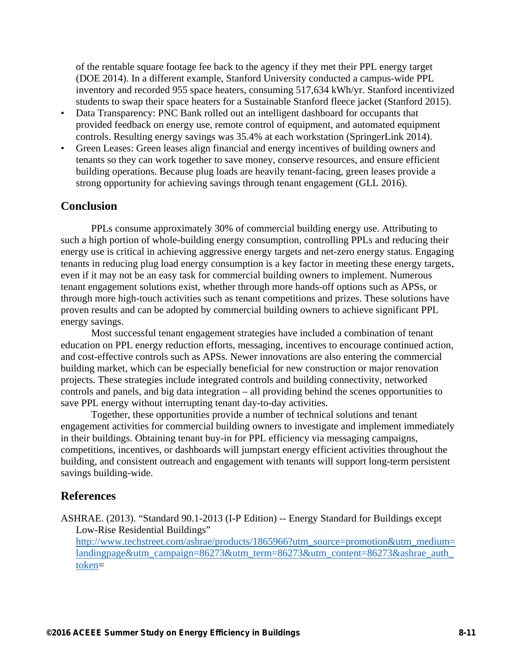of the rentable square footage fee back to the agency if they met their PPL energy target (DOE 2014). In a different example, Stanford University conducted a campus-wide PPL inventory and recorded 955 space heaters, consuming 517,634 kWh/yr. Stanford incentivized students to swap their space heaters for a Sustainable Stanford fleece jacket (Stanford 2015).

- Data Transparency: PNC Bank rolled out an intelligent dashboard for occupants that provided feedback on energy use, remote control of equipment, and automated equipment controls. Resulting energy savings was 35.4% at each workstation (SpringerLink 2014).
- Green Leases: Green leases align financial and energy incentives of building owners and tenants so they can work together to save money, conserve resources, and ensure efficient building operations. Because plug loads are heavily tenant-facing, green leases provide a strong opportunity for achieving savings through tenant engagement (GLL 2016).

## **Conclusion**

PPLs consume approximately 30% of commercial building energy use. Attributing to such a high portion of whole-building energy consumption, controlling PPLs and reducing their energy use is critical in achieving aggressive energy targets and net-zero energy status. Engaging tenants in reducing plug load energy consumption is a key factor in meeting these energy targets, even if it may not be an easy task for commercial building owners to implement. Numerous tenant engagement solutions exist, whether through more hands-off options such as APSs, or through more high-touch activities such as tenant competitions and prizes. These solutions have proven results and can be adopted by commercial building owners to achieve significant PPL energy savings.

Most successful tenant engagement strategies have included a combination of tenant education on PPL energy reduction efforts, messaging, incentives to encourage continued action, and cost-effective controls such as APSs. Newer innovations are also entering the commercial building market, which can be especially beneficial for new construction or major renovation projects. These strategies include integrated controls and building connectivity, networked controls and panels, and big data integration – all providing behind the scenes opportunities to save PPL energy without interrupting tenant day-to-day activities.

Together, these opportunities provide a number of technical solutions and tenant engagement activities for commercial building owners to investigate and implement immediately in their buildings. Obtaining tenant buy-in for PPL efficiency via messaging campaigns, competitions, incentives, or dashboards will jumpstart energy efficient activities throughout the building, and consistent outreach and engagement with tenants will support long-term persistent savings building-wide.

### **References**

ASHRAE. (2013). "Standard 90.1-2013 (I-P Edition) -- Energy Standard for Buildings except Low-Rise Residential Buildings"

http://www.techstreet.com/ashrae/products/1865966?utm\_source=promotion&utm\_medium= landingpage&utm\_campaign=86273&utm\_term=86273&utm\_content=86273&ashrae\_auth token=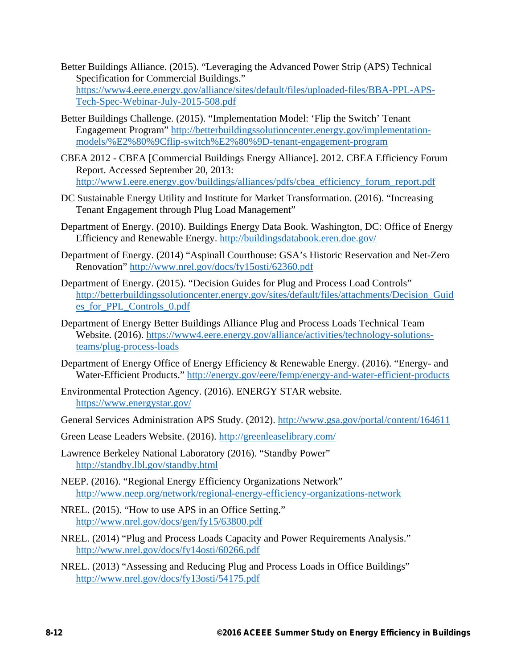- Better Buildings Alliance. (2015). "Leveraging the Advanced Power Strip (APS) Technical Specification for Commercial Buildings." https://www4.eere.energy.gov/alliance/sites/default/files/uploaded-files/BBA-PPL-APS-Tech-Spec-Webinar-July-2015-508.pdf
- Better Buildings Challenge. (2015). "Implementation Model: 'Flip the Switch' Tenant Engagement Program" http://betterbuildingssolutioncenter.energy.gov/implementationmodels/%E2%80%9Cflip-switch%E2%80%9D-tenant-engagement-program
- CBEA 2012 CBEA [Commercial Buildings Energy Alliance]. 2012. CBEA Efficiency Forum Report. Accessed September 20, 2013: http://www1.eere.energy.gov/buildings/alliances/pdfs/cbea\_efficiency\_forum\_report.pdf
- DC Sustainable Energy Utility and Institute for Market Transformation. (2016). "Increasing Tenant Engagement through Plug Load Management"
- Department of Energy. (2010). Buildings Energy Data Book. Washington, DC: Office of Energy Efficiency and Renewable Energy. http://buildingsdatabook.eren.doe.gov/
- Department of Energy. (2014) "Aspinall Courthouse: GSA's Historic Reservation and Net-Zero Renovation" http://www.nrel.gov/docs/fy15osti/62360.pdf
- Department of Energy. (2015). "Decision Guides for Plug and Process Load Controls" http://betterbuildingssolutioncenter.energy.gov/sites/default/files/attachments/Decision\_Guid es\_for\_PPL\_Controls\_0.pdf
- Department of Energy Better Buildings Alliance Plug and Process Loads Technical Team Website. (2016). https://www4.eere.energy.gov/alliance/activities/technology-solutionsteams/plug-process-loads
- Department of Energy Office of Energy Efficiency & Renewable Energy. (2016). "Energy- and Water-Efficient Products." http://energy.gov/eere/femp/energy-and-water-efficient-products
- Environmental Protection Agency. (2016). ENERGY STAR website. https://www.energystar.gov/
- General Services Administration APS Study. (2012). http://www.gsa.gov/portal/content/164611
- Green Lease Leaders Website. (2016). http://greenleaselibrary.com/
- Lawrence Berkeley National Laboratory (2016). "Standby Power" http://standby.lbl.gov/standby.html
- NEEP. (2016). "Regional Energy Efficiency Organizations Network" http://www.neep.org/network/regional-energy-efficiency-organizations-network
- NREL. (2015). "How to use APS in an Office Setting." http://www.nrel.gov/docs/gen/fy15/63800.pdf
- NREL. (2014) "Plug and Process Loads Capacity and Power Requirements Analysis." http://www.nrel.gov/docs/fy14osti/60266.pdf
- NREL. (2013) "Assessing and Reducing Plug and Process Loads in Office Buildings" http://www.nrel.gov/docs/fy13osti/54175.pdf